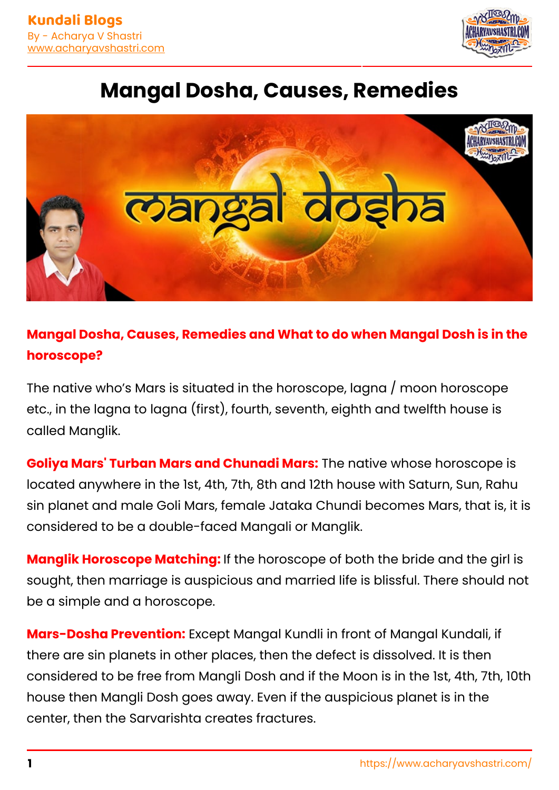

## **Mangal Dosha, Causes, Remedies**



## **Mangal Dosha, Causes, Remedies and What to do when Mangal Dosh is in the horoscope?**

The native who's Mars is situated in the horoscope, lagna / moon horoscope etc., in the lagna to lagna (first), fourth, seventh, eighth and twelfth house is called Manglik.

**Goliya Mars' Turban Mars and Chunadi Mars:** The native whose horoscope is located anywhere in the 1st, 4th, 7th, 8th and 12th house with Saturn, Sun, Rahu sin planet and male Goli Mars, female Jataka Chundi becomes Mars, that is, it is considered to be a double-faced Mangali or Manglik.

**Manglik Horoscope Matching:** If the horoscope of both the bride and the girl is sought, then marriage is auspicious and married life is blissful. There should not be a simple and a horoscope.

**Mars-Dosha Prevention:** Except Mangal Kundli in front of Mangal Kundali, if there are sin planets in other places, then the defect is dissolved. It is then considered to be free from Mangli Dosh and if the Moon is in the 1st, 4th, 7th, 10th house then Mangli Dosh goes away. Even if the auspicious planet is in the center, then the Sarvarishta creates fractures.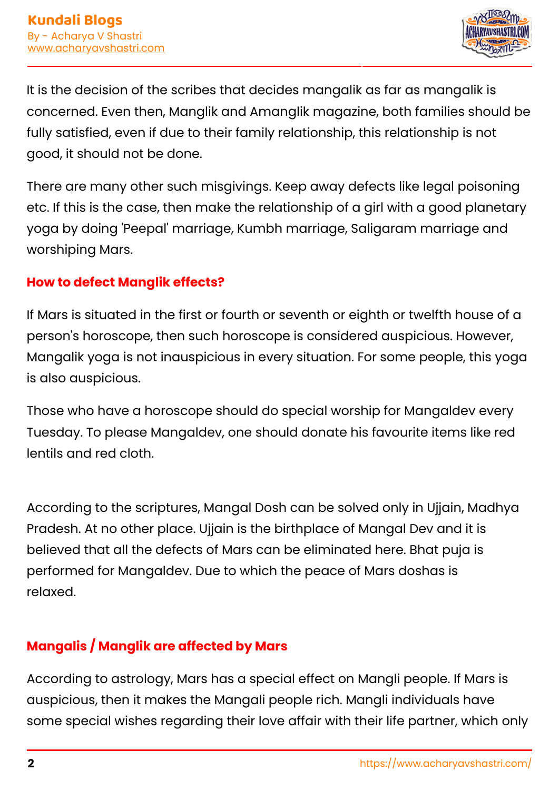

It is the decision of the scribes that decides mangalik as far as mangalik is concerned. Even then, Manglik and Amanglik magazine, both families should be fully satisfied, even if due to their family relationship, this relationship is not good, it should not be done.

There are many other such misgivings. Keep away defects like legal poisoning etc. If this is the case, then make the relationship of a girl with a good planetary yoga by doing 'Peepal' marriage, Kumbh marriage, Saligaram marriage and worshiping Mars.

#### **How to defect Manglik effects?**

If Mars is situated in the first or fourth or seventh or eighth or twelfth house of a person's horoscope, then such horoscope is considered auspicious. However, Mangalik yoga is not inauspicious in every situation. For some people, this yoga is also auspicious.

Those who have a horoscope should do special worship for Mangaldev every Tuesday. To please Mangaldev, one should donate his favourite items like red lentils and red cloth.

According to the scriptures, Mangal Dosh can be solved only in Ujjain, Madhya Pradesh. At no other place. Ujjain is the birthplace of Mangal Dev and it is believed that all the defects of Mars can be eliminated here. Bhat puja is performed for Mangaldev. Due to which the peace of Mars doshas is  $r$ elaxed. famous astrologer in Gurgaon, top as transfer as transfer as transfer as transfer as transfer as transfer as transfer as transfer as transfer as transfer as transfer as transfer as transfer as transfer as trans

#### **Mangalis / Manglik are affected by Mars**

According to astrology, Mars has a special effect on Mangli people. If Mars is auspicious, then it makes the Mangali people rich. Mangli individuals have some special wishes regarding their love affair with their life partner, which only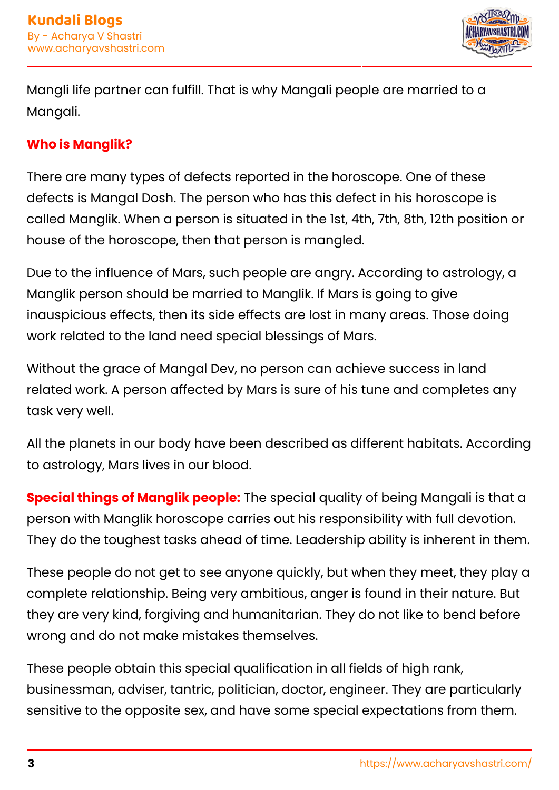

Mangli life partner can fulfill. That is why Mangali people are married to a Mangali.

#### **Who is Manglik?**

There are many types of defects reported in the horoscope. One of these defects is Mangal Dosh. The person who has this defect in his horoscope is called Manglik. When a person is situated in the 1st, 4th, 7th, 8th, 12th position or house of the horoscope, then that person is mangled.

Due to the influence of Mars, such people are angry. According to astrology, a Manglik person should be married to Manglik. If Mars is going to give inauspicious effects, then its side effects are lost in many areas. Those doing work related to the land need special blessings of Mars.

Without the grace of Mangal Dev, no person can achieve success in land related work. A person affected by Mars is sure of his tune and completes any task very well.

All the planets in our body have been described as different habitats. According to astrology, Mars lives in our blood.

**Special things of Manglik people:** The special quality of being Mangali is that a person with Manglik horoscope carries out his responsibility with full devotion. They do the toughest tasks ahead of time. Leadership ability is inherent in them.

These people do not get to see anyone quickly, but when they meet, they play a complete relationship. Being very ambitious, anger is found in their nature. But they are very kind, forgiving and humanitarian. They do not like to bend before wrong and do not make mistakes themselves.

These people obtain this special qualification in all fields of high rank, businessman, adviser, tantric, politician, doctor, engineer. They are particularly sensitive to the opposite sex, and have some special expectations from them.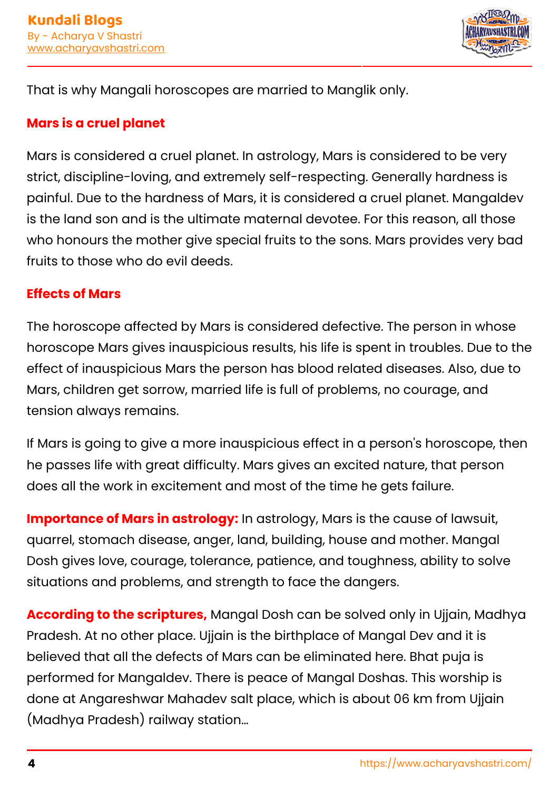

That is why Mangali horoscopes are married to Manglik only.

#### **Mars is a cruel planet**

Mars is considered a cruel planet. In astrology, Mars is considered to be very strict, discipline-loving, and extremely self-respecting. Generally hardness is painful. Due to the hardness of Mars, it is considered a cruel planet. Mangaldev is the land son and is the ultimate maternal devotee. For this reason, all those who honours the mother give special fruits to the sons. Mars provides very bad fruits to those who do evil deeds.

#### **Effects of Mars**

The horoscope affected by Mars is considered defective. The person in whose horoscope Mars gives inauspicious results, his life is spent in troubles. Due to the effect of inauspicious Mars the person has blood related diseases. Also, due to Mars, children get sorrow, married life is full of problems, no courage, and tension always remains.

If Mars is going to give a more inauspicious effect in a person's horoscope, then he passes life with great difficulty. Mars gives an excited nature, that person does all the work in excitement and most of the time he gets failure.

**Importance of Mars in astrology:** In astrology, Mars is the cause of lawsuit, quarrel, stomach disease, anger, land, building, house and mother. Mangal Dosh gives love, courage, tolerance, patience, and toughness, ability to solve situations and problems, and strength to face the dangers.

**According to the scriptures,** Mangal Dosh can be solved only in Ujjain, Madhya Pradesh. At no other place. Ujjain is the birthplace of Mangal Dev and it is believed that all the defects of Mars can be eliminated here. Bhat puja is performed for Mangaldev. There is peace of Mangal Doshas. This worship is done at Angareshwar Mahadev salt place, which is about 06 km from Ujjain (Madhya Pradesh) railway station…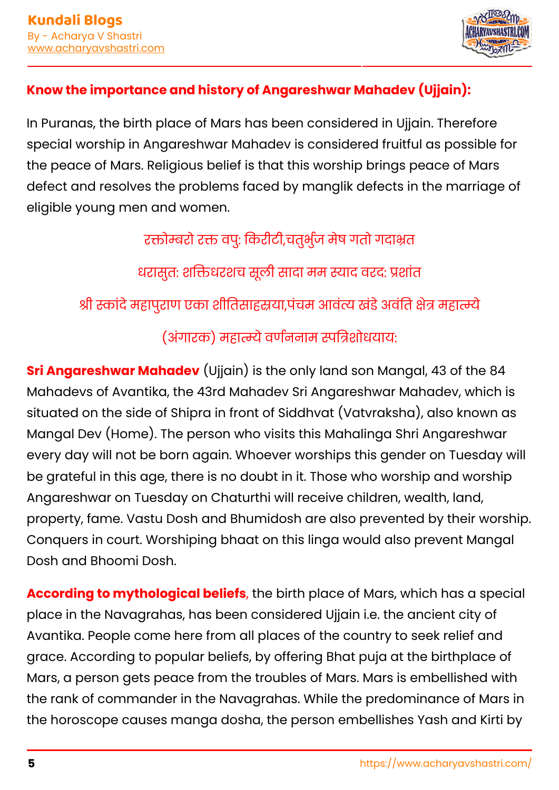

#### **Know the importance and history of Angareshwar Mahadev (Ujjain):**

In Puranas, the birth place of Mars has been considered in Ujjain. Therefore special worship in Angareshwar Mahadev is considered fruitful as possible for the peace of Mars. Religious belief is that this worship brings peace of Mars defect and resolves the problems faced by manglik defects in the marriage of eligible young men and women.

> रक्तोम्बरो रक्त वपु: किरीटी,चतुर्भुज मेष गतो गदाभ्रत धरासुत: शक्तिधरशच सूली सादा मम स्याद वरद: प्रशांत श्री स्कांदे महापुराण एका शीतिसाहस्रया,पंचम आवंत्य खंडे अवंति क्षेत्र महात्म्ये (अंगारक) महात्म्ये वर्णननाम स्पत्रिशोधयाय:

**Sri Angareshwar Mahadev** (Ujjain) is the only land son Mangal, 43 of the 84 Mahadevs of Avantika, the 43rd Mahadev Sri Angareshwar Mahadev, which is situated on the side of Shipra in front of Siddhvat (Vatvraksha), also known as Mangal Dev (Home). The person who visits this Mahalinga Shri Angareshwar every day will not be born again. Whoever worships this gender on Tuesday will be grateful in this age, there is no doubt in it. Those who worship and worship Angareshwar on Tuesday on Chaturthi will receive children, wealth, land, property, fame. Vastu Dosh and Bhumidosh are also prevented by their worship. Conquers in court. Worshiping bhaat on this linga would also prevent Mangal Dosh and Bhoomi Dosh.

**According to mythological beliefs**, the birth place of Mars, which has a special place in the Navagrahas, has been considered Ujjain i.e. the ancient city of Avantika. People come here from all places of the country to seek relief and grace. According to popular beliefs, by offering Bhat puja at the birthplace of Mars, a person gets peace from the troubles of Mars. Mars is embellished with the rank of commander in the Navagrahas. While the predominance of Mars in the horoscope causes manga dosha, the person embellishes Yash and Kirti by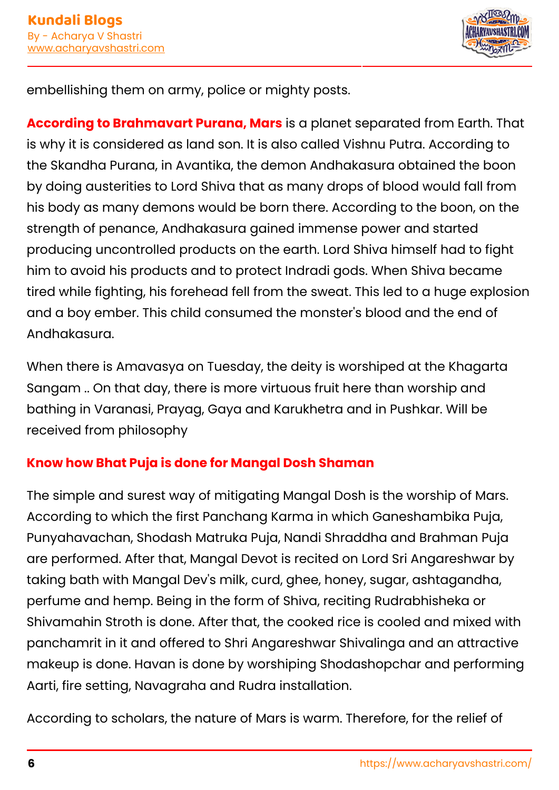

embellishing them on army, police or mighty posts.

**According to Brahmavart Purana, Mars** is a planet separated from Earth. That is why it is considered as land son. It is also called Vishnu Putra. According to the Skandha Purana, in Avantika, the demon Andhakasura obtained the boon by doing austerities to Lord Shiva that as many drops of blood would fall from his body as many demons would be born there. According to the boon, on the strength of penance, Andhakasura gained immense power and started producing uncontrolled products on the earth. Lord Shiva himself had to fight him to avoid his products and to protect Indradi gods. When Shiva became tired while fighting, his forehead fell from the sweat. This led to a huge explosion and a boy ember. This child consumed the monster's blood and the end of Andhakasura.

When there is Amavasya on Tuesday, the deity is worshiped at the Khagarta Sangam .. On that day, there is more virtuous fruit here than worship and bathing in Varanasi, Prayag, Gaya and Karukhetra and in Pushkar. Will be received from philosophy

#### **Know how Bhat Puja is done for Mangal Dosh Shaman**

The simple and surest way of mitigating Mangal Dosh is the worship of Mars. According to which the first Panchang Karma in which Ganeshambika Puja, Punyahavachan, Shodash Matruka Puja, Nandi Shraddha and Brahman Puja are performed. After that, Mangal Devot is recited on Lord Sri Angareshwar by taking bath with Mangal Dev's milk, curd, ghee, honey, sugar, ashtagandha, perfume and hemp. Being in the form of Shiva, reciting Rudrabhisheka or Shivamahin Stroth is done. After that, the cooked rice is cooled and mixed with panchamrit in it and offered to Shri Angareshwar Shivalinga and an attractive makeup is done. Havan is done by worshiping Shodashopchar and performing Aarti, fire setting, Navagraha and Rudra installation.

According to scholars, the nature of Mars is warm. Therefore, for the relief of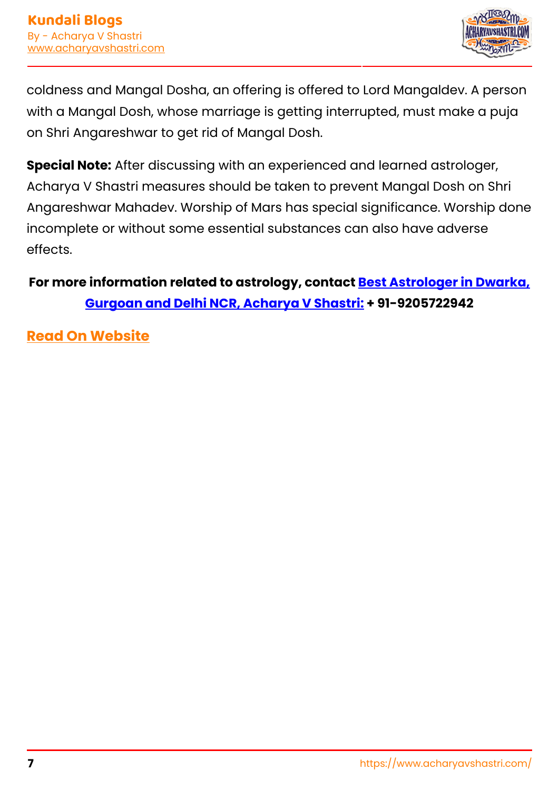

coldness and Mangal Dosha, an offering is offered to Lord Mangaldev. A person with a Mangal Dosh, whose marriage is getting interrupted, must make a puja on Shri Angareshwar to get rid of Mangal Dosh.

**Special Note:** After discussing with an experienced and learned astrologer, Acharya V Shastri measures should be taken to prevent Mangal Dosh on Shri Angareshwar Mahadev. Worship of Mars has special significance. Worship done incomplete or without some essential substances can also have adverse effects.

## **For more information related to astrology, contact [Best Astrologer in Dwarka,](https://www.acharyavshastri.com/about-us/) [Gurgoan and Delhi NCR, Acharya V Shastri:](https://www.acharyavshastri.com/about-us/) + 91-9205722942**

**[Read On Website](https://www.acharyavshastri.com/blog/effects-mangal-dosha-remedies-acharyavshastri/)**